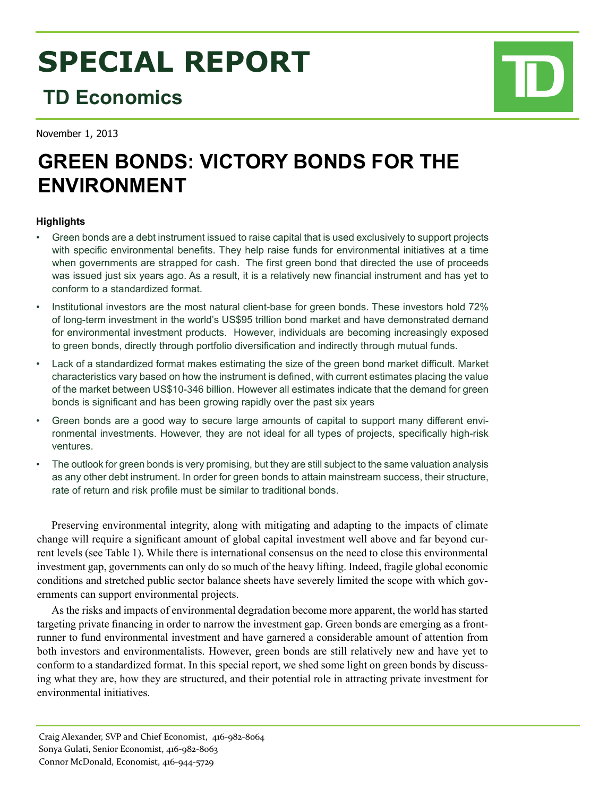# **SPECIAL REPORT**

## **TD Economics**

November 1, 2013

# **Green Bonds: Victory Bonds for the Environment**

### **Highlights**

- Green bonds are a debt instrument issued to raise capital that is used exclusively to support projects with specific environmental benefits. They help raise funds for environmental initiatives at a time when governments are strapped for cash. The first green bond that directed the use of proceeds was issued just six years ago. As a result, it is a relatively new financial instrument and has yet to conform to a standardized format.
- Institutional investors are the most natural client-base for green bonds. These investors hold 72% of long-term investment in the world's US\$95 trillion bond market and have demonstrated demand for environmental investment products. However, individuals are becoming increasingly exposed to green bonds, directly through portfolio diversification and indirectly through mutual funds.
- Lack of a standardized format makes estimating the size of the green bond market difficult. Market characteristics vary based on how the instrument is defined, with current estimates placing the value of the market between US\$10-346 billion. However all estimates indicate that the demand for green bonds is significant and has been growing rapidly over the past six years
- • Green bonds are a good way to secure large amounts of capital to support many different environmental investments. However, they are not ideal for all types of projects, specifically high-risk ventures.
- The outlook for green bonds is very promising, but they are still subject to the same valuation analysis as any other debt instrument. In order for green bonds to attain mainstream success, their structure, rate of return and risk profile must be similar to traditional bonds.

Preserving environmental integrity, along with mitigating and adapting to the impacts of climate change will require a significant amount of global capital investment well above and far beyond current levels (see Table 1). While there is international consensus on the need to close this environmental investment gap, governments can only do so much of the heavy lifting. Indeed, fragile global economic conditions and stretched public sector balance sheets have severely limited the scope with which governments can support environmental projects.

As the risks and impacts of environmental degradation become more apparent, the world has started targeting private financing in order to narrow the investment gap. Green bonds are emerging as a frontrunner to fund environmental investment and have garnered a considerable amount of attention from both investors and environmentalists. However, green bonds are still relatively new and have yet to conform to a standardized format. In this special report, we shed some light on green bonds by discussing what they are, how they are structured, and their potential role in attracting private investment for environmental initiatives.

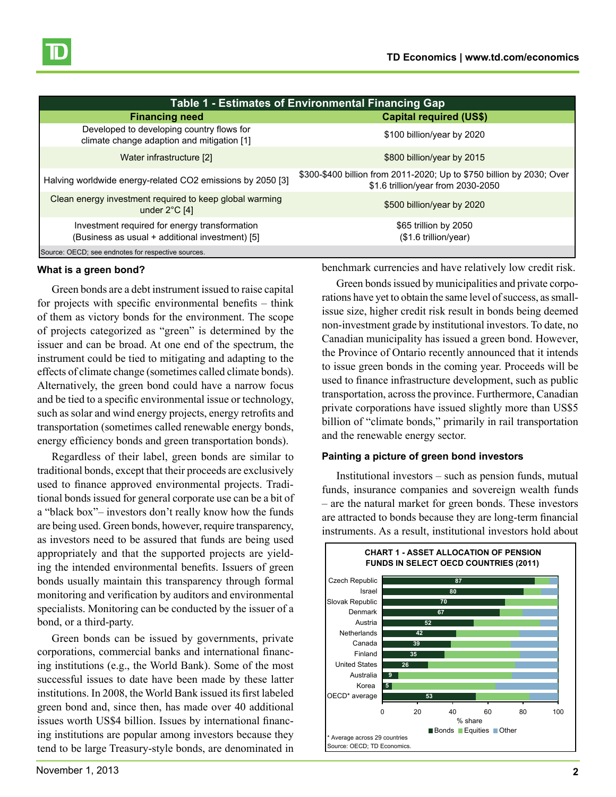

| Table 1 - Estimates of Environmental Financing Gap                                               |                                                                                                             |  |  |
|--------------------------------------------------------------------------------------------------|-------------------------------------------------------------------------------------------------------------|--|--|
| <b>Financing need</b>                                                                            | <b>Capital required (US\$)</b>                                                                              |  |  |
| Developed to developing country flows for<br>climate change adaption and mitigation [1]          | \$100 billion/year by 2020                                                                                  |  |  |
| Water infrastructure [2]                                                                         | \$800 billion/year by 2015                                                                                  |  |  |
| Halving worldwide energy-related CO2 emissions by 2050 [3]                                       | \$300-\$400 billion from 2011-2020; Up to \$750 billion by 2030; Over<br>\$1.6 trillion/year from 2030-2050 |  |  |
| Clean energy investment required to keep global warming<br>under $2^{\circ}$ C [4]               | \$500 billion/year by 2020                                                                                  |  |  |
| Investment required for energy transformation<br>(Business as usual + additional investment) [5] | \$65 trillion by 2050<br>$($1.6$ trillion/year)                                                             |  |  |
| Source: OECD; see endnotes for respective sources.                                               |                                                                                                             |  |  |

#### **What is a green bond?**

Green bonds are a debt instrument issued to raise capital for projects with specific environmental benefits – think of them as victory bonds for the environment. The scope of projects categorized as "green" is determined by the issuer and can be broad. At one end of the spectrum, the instrument could be tied to mitigating and adapting to the effects of climate change (sometimes called climate bonds). Alternatively, the green bond could have a narrow focus and be tied to a specific environmental issue or technology, such as solar and wind energy projects, energy retrofits and transportation (sometimes called renewable energy bonds, energy efficiency bonds and green transportation bonds).

Regardless of their label, green bonds are similar to traditional bonds, except that their proceeds are exclusively used to finance approved environmental projects. Traditional bonds issued for general corporate use can be a bit of a "black box"– investors don't really know how the funds are being used. Green bonds, however, require transparency, as investors need to be assured that funds are being used appropriately and that the supported projects are yielding the intended environmental benefits. Issuers of green bonds usually maintain this transparency through formal monitoring and verification by auditors and environmental specialists. Monitoring can be conducted by the issuer of a bond, or a third-party.

Green bonds can be issued by governments, private corporations, commercial banks and international financing institutions (e.g., the World Bank). Some of the most successful issues to date have been made by these latter institutions. In 2008, the World Bank issued its first labeled green bond and, since then, has made over 40 additional issues worth US\$4 billion. Issues by international financing institutions are popular among investors because they tend to be large Treasury-style bonds, are denominated in

benchmark currencies and have relatively low credit risk.

Green bonds issued by municipalities and private corporations have yet to obtain the same level of success, as smallissue size, higher credit risk result in bonds being deemed non-investment grade by institutional investors. To date, no Canadian municipality has issued a green bond. However, the Province of Ontario recently announced that it intends to issue green bonds in the coming year. Proceeds will be 1 used to finance infrastructure development, such as public transportation, across the province. Furthermore, Canadian private corporations have issued slightly more than US\$5 billion of "climate bonds," primarily in rail transportation and the renewable energy sector.

#### **Painting a picture of green bond investors**

Institutional investors – such as pension funds, mutual funds, insurance companies and sovereign wealth funds – are the natural market for green bonds. These investors are attracted to bonds because they are long-term financial instruments. As a result, institutional investors hold about

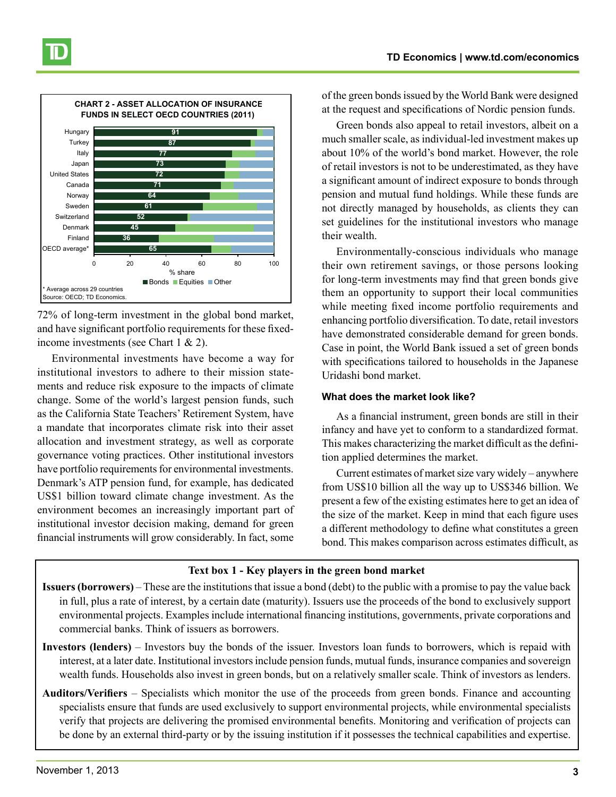

72% of long-term investment in the global bond market, and have significant portfolio requirements for these fixedincome investments (see Chart 1 & 2).

Environmental investments have become a way for institutional investors to adhere to their mission statements and reduce risk exposure to the impacts of climate change. Some of the world's largest pension funds, such as the California State Teachers' Retirement System, have a mandate that incorporates climate risk into their asset allocation and investment strategy, as well as corporate governance voting practices. Other institutional investors have portfolio requirements for environmental investments. Denmark's ATP pension fund, for example, has dedicated US\$1 billion toward climate change investment. As the environment becomes an increasingly important part of institutional investor decision making, demand for green financial instruments will grow considerably. In fact, some

**TD Economics | www.td.com/economics**

of the green bonds issued by the World Bank were designed at the request and specifications of Nordic pension funds.

Green bonds also appeal to retail investors, albeit on a much smaller scale, as individual-led investment makes up about 10% of the world's bond market. However, the role of retail investors is not to be underestimated, as they have a significant amount of indirect exposure to bonds through pension and mutual fund holdings. While these funds are not directly managed by households, as clients they can set guidelines for the institutional investors who manage their wealth.

Environmentally-conscious individuals who manage their own retirement savings, or those persons looking for long-term investments may find that green bonds give them an opportunity to support their local communities while meeting fixed income portfolio requirements and enhancing portfolio diversification. To date, retail investors have demonstrated considerable demand for green bonds. Case in point, the World Bank issued a set of green bonds with specifications tailored to households in the Japanese Uridashi bond market.

#### **What does the market look like?**

As a financial instrument, green bonds are still in their infancy and have yet to conform to a standardized format. This makes characterizing the market difficult as the definition applied determines the market.

Current estimates of market size vary widely – anywhere from US\$10 billion all the way up to US\$346 billion. We present a few of the existing estimates here to get an idea of the size of the market. Keep in mind that each figure uses a different methodology to define what constitutes a green bond. This makes comparison across estimates difficult, as

#### **Text box 1 - Key players in the green bond market**

- **Issuers (borrowers)**  These are the institutions that issue a bond (debt) to the public with a promise to pay the value back in full, plus a rate of interest, by a certain date (maturity). Issuers use the proceeds of the bond to exclusively support environmental projects. Examples include international financing institutions, governments, private corporations and  $\Box$  commercial banks. Think of issuers as borrowers.
	- **Investors (lenders)** Investors buy the bonds of the issuer. Investors loan funds to borrowers, which is repaid with interest, at a later date. Institutional investors include pension funds, mutual funds, insurance companies and sovereign wealth funds. Households also invest in green bonds, but on a relatively smaller scale. Think of investors as lenders.
	- **Auditors/Verifiers** Specialists which monitor the use of the proceeds from green bonds. Finance and accounting specialists ensure that funds are used exclusively to support environmental projects, while environmental specialists verify that projects are delivering the promised environmental benefits. Monitoring and verification of projects can be done by an external third-party or by the issuing institution if it possesses the technical capabilities and expertise.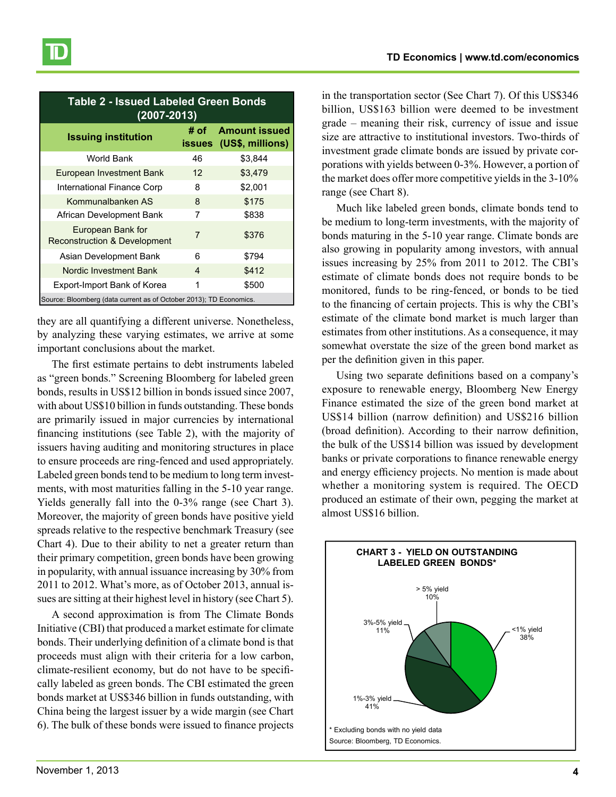| <b>Table 2 - Issued Labeled Green Bonds</b><br>$(2007 - 2013)$     |                       |                                          |  |
|--------------------------------------------------------------------|-----------------------|------------------------------------------|--|
| <b>Issuing institution</b>                                         | # of<br><b>issues</b> | <b>Amount issued</b><br>(US\$, millions) |  |
| World Bank                                                         | 46                    | \$3,844                                  |  |
| European Investment Bank                                           | 12                    | \$3,479                                  |  |
| International Finance Corp                                         | 8                     | \$2,001                                  |  |
| Kommunalbanken AS                                                  | 8                     | \$175                                    |  |
| African Development Bank                                           | 7                     | \$838                                    |  |
| European Bank for<br><b>Reconstruction &amp; Development</b>       | $\overline{7}$        | \$376                                    |  |
| Asian Development Bank                                             | 6                     | \$794                                    |  |
| Nordic Investment Bank                                             | 4                     | \$412                                    |  |
| Export-Import Bank of Korea                                        | 1                     | \$500                                    |  |
| Source: Bloomberg (data current as of October 2013); TD Economics. |                       |                                          |  |

they are all quantifying a different universe. Nonetheless, by analyzing these varying estimates, we arrive at some important conclusions about the market.

The first estimate pertains to debt instruments labeled as "green bonds." Screening Bloomberg for labeled green as green bonds. Sereening Broomberg for ideolog green bonds, results in US\$12 billion in bonds issued since 2007, with about US\$10 billion in funds outstanding. These bonds are primarily issued in major currencies by international financing institutions (see Table 2), with the majority of issuers having auditing and monitoring structures in place to ensure proceeds are ring-fenced and used appropriately. Labeled green bonds tend to be medium to long term investments, with most maturities falling in the 5-10 year range. Yields generally fall into the 0-3% range (see Chart 3). Moreover, the majority of green bonds have positive yield spreads relative to the respective benchmark Treasury (see Chart 4). Due to their ability to net a greater return than their primary competition, green bonds have been growing in popularity, with annual issuance increasing by 30% from 2011 to 2012. What's more, as of October 2013, annual issues are sitting at their highest level in history (see Chart 5). Kommunalbanken AS 8 \$175

A second approximation is from The Climate Bonds Initiative (CBI) that produced a market estimate for climate bonds. Their underlying definition of a climate bond is that proceeds must align with their criteria for a low carbon, climate-resilient economy, but do not have to be specifically labeled as green bonds. The CBI estimated the green bonds market at US\$346 billion in funds outstanding, with China being the largest issuer by a wide margin (see Chart 6). The bulk of these bonds were issued to finance projects

in the transportation sector (See Chart 7). Of this US\$346 billion, US\$163 billion were deemed to be investment grade – meaning their risk, currency of issue and issue size are attractive to institutional investors. Two-thirds of investment grade climate bonds are issued by private corporations with yields between 0-3%. However, a portion of the market does offer more competitive yields in the 3-10% range (see Chart 8).

Much like labeled green bonds, climate bonds tend to be medium to long-term investments, with the majority of bonds maturing in the 5-10 year range. Climate bonds are also growing in popularity among investors, with annual issues increasing by 25% from 2011 to 2012. The CBI's estimate of climate bonds does not require bonds to be monitored, funds to be ring-fenced, or bonds to be tied to the financing of certain projects. This is why the CBI's estimate of the climate bond market is much larger than estimates from other institutions. As a consequence, it may somewhat overstate the size of the green bond market as per the definition given in this paper.

Using two separate definitions based on a company's exposure to renewable energy, Bloomberg New Energy Finance estimated the size of the green bond market at US\$14 billion (narrow definition) and US\$216 billion (broad definition). According to their narrow definition, the bulk of the US\$14 billion was issued by development banks or private corporations to finance renewable energy and energy efficiency projects. No mention is made about whether a monitoring system is required. The OECD produced an estimate of their own, pegging the market at almost US\$16 billion.

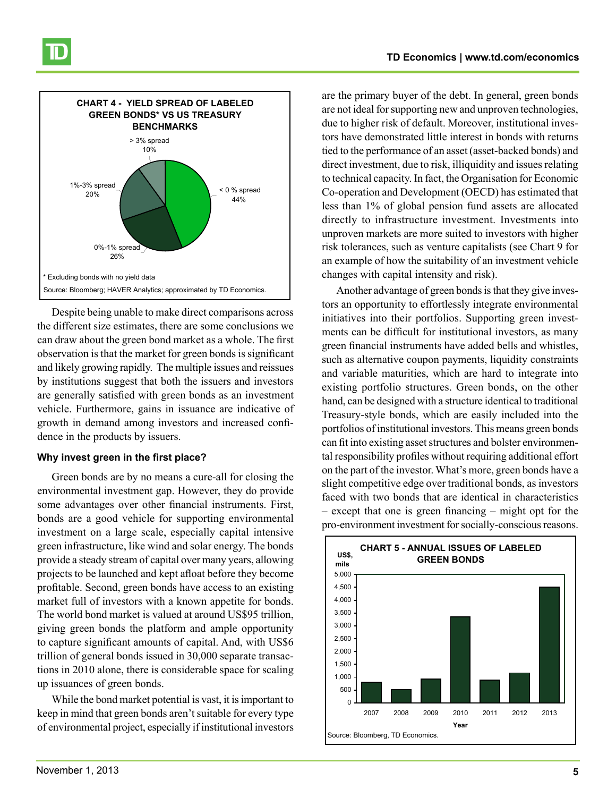

Despite being unable to make direct comparisons across the different size estimates, there are some conclusions we can draw about the green bond market as a whole. The first observation is that the market for green bonds is significant and likely growing rapidly. The multiple issues and reissues by institutions suggest that both the issuers and investors are generally satisfied with green bonds as an investment vehicle. Furthermore, gains in issuance are indicative of growth in demand among investors and increased confidence in the products by issuers.

#### **Why invest green in the first place?**

Green bonds are by no means a cure-all for closing the environmental investment gap. However, they do provide some advantages over other financial instruments. First, bonds are a good vehicle for supporting environmental investment on a large scale, especially capital intensive green infrastructure, like wind and solar energy. The bonds provide a steady stream of capital over many years, allowing projects to be launched and kept afloat before they become profitable. Second, green bonds have access to an existing market full of investors with a known appetite for bonds. The world bond market is valued at around US\$95 trillion, giving green bonds the platform and ample opportunity  $\begin{bmatrix} 3,000 \\ 2,000 \end{bmatrix}$ to capture significant amounts of capital. And, with US\$6 trillion of general bonds issued in 30,000 separate transactions in 2010 alone, there is considerable space for scaling up issuances of green bonds.

> While the bond market potential is vast, it is important to keep in mind that green bonds aren't suitable for every type of environmental project, especially if institutional investors

are the primary buyer of the debt. In general, green bonds are not ideal for supporting new and unproven technologies, due to higher risk of default. Moreover, institutional investors have demonstrated little interest in bonds with returns tied to the performance of an asset (asset-backed bonds) and direct investment, due to risk, illiquidity and issues relating to technical capacity. In fact, the Organisation for Economic Co-operation and Development (OECD) has estimated that less than 1% of global pension fund assets are allocated directly to infrastructure investment. Investments into unproven markets are more suited to investors with higher risk tolerances, such as venture capitalists (see Chart 9 for an example of how the suitability of an investment vehicle changes with capital intensity and risk).

Another advantage of green bonds is that they give investors an opportunity to effortlessly integrate environmental initiatives into their portfolios. Supporting green investments can be difficult for institutional investors, as many green financial instruments have added bells and whistles, such as alternative coupon payments, liquidity constraints and variable maturities, which are hard to integrate into existing portfolio structures. Green bonds, on the other hand, can be designed with a structure identical to traditional Treasury-style bonds, which are easily included into the portfolios of institutional investors. This means green bonds can fit into existing asset structures and bolster environmental responsibility profiles without requiring additional effort on the part of the investor. What's more, green bonds have a slight competitive edge over traditional bonds, as investors faced with two bonds that are identical in characteristics – except that one is green financing – might opt for the pro-environment investment for socially-conscious reasons.

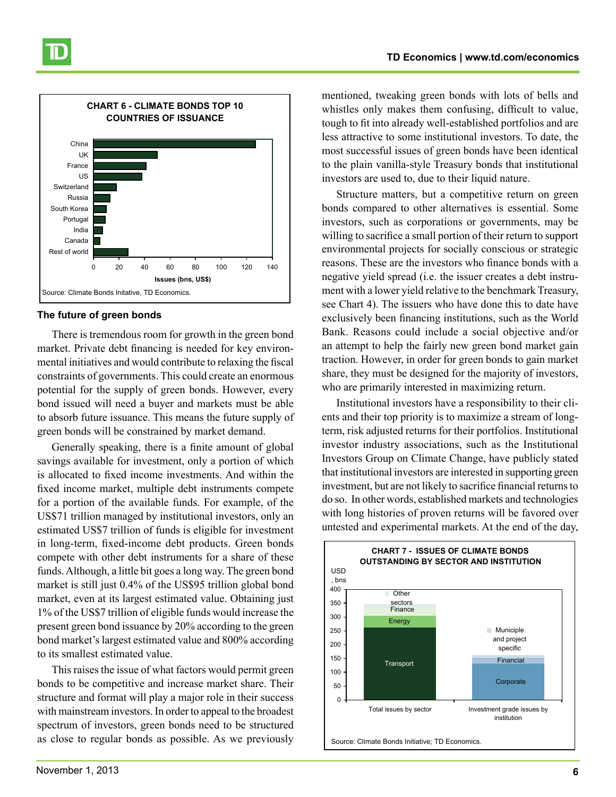

#### **The future of green bonds**

There is tremendous room for growth in the green bond market. Private debt financing is needed for key environmental initiatives and would contribute to relaxing the fiscal constraints of governments. This could create an enormous potential for the supply of green bonds. However, every bond issued will need a buyer and markets must be able to absorb future issuance. This means the future supply of green bonds will be constrained by market demand.

Generally speaking, there is a finite amount of global savings available for investment, only a portion of which is allocated to fixed income investments. And within the fixed income market, multiple debt instruments compete for a portion of the available funds. For example, of the US\$71 trillion managed by institutional investors, only an estimated US\$7 trillion of funds is eligible for investment in long-term, fixed-income debt products. Green bonds compete with other debt instruments for a share of these funds. Although, a little bit goes a long way. The green bond market is still just 0.4% of the US\$95 trillion global bond market, even at its largest estimated value. Obtaining just 1% of the US\$7 trillion of eligible funds would increase the present green bond issuance by 20% according to the green  $\Big|_{250}$ . bond market's largest estimated value and 800% according to its smallest estimated value.

> This raises the issue of what factors would permit green bonds to be competitive and increase market share. Their structure and format will play a major role in their success with mainstream investors. In order to appeal to the broadest spectrum of investors, green bonds need to be structured as close to regular bonds as possible. As we previously

mentioned, tweaking green bonds with lots of bells and whistles only makes them confusing, difficult to value, tough to fit into already well-established portfolios and are less attractive to some institutional investors. To date, the most successful issues of green bonds have been identical to the plain vanilla-style Treasury bonds that institutional investors are used to, due to their liquid nature.

Structure matters, but a competitive return on green bonds compared to other alternatives is essential. Some investors, such as corporations or governments, may be willing to sacrifice a small portion of their return to support environmental projects for socially conscious or strategic reasons. These are the investors who finance bonds with a negative yield spread (i.e. the issuer creates a debt instrument with a lower yield relative to the benchmark Treasury, see Chart 4). The issuers who have done this to date have exclusively been financing institutions, such as the World Bank. Reasons could include a social objective and/or an attempt to help the fairly new green bond market gain traction. However, in order for green bonds to gain market share, they must be designed for the majority of investors, who are primarily interested in maximizing return.

Institutional investors have a responsibility to their clients and their top priority is to maximize a stream of longterm, risk adjusted returns for their portfolios. Institutional investor industry associations, such as the Institutional Investors Group on Climate Change, have publicly stated that institutional investors are interested in supporting green investment, but are not likely to sacrifice financial returns to do so. In other words, established markets and technologies with long histories of proven returns will be favored over untested and experimental markets. At the end of the day,

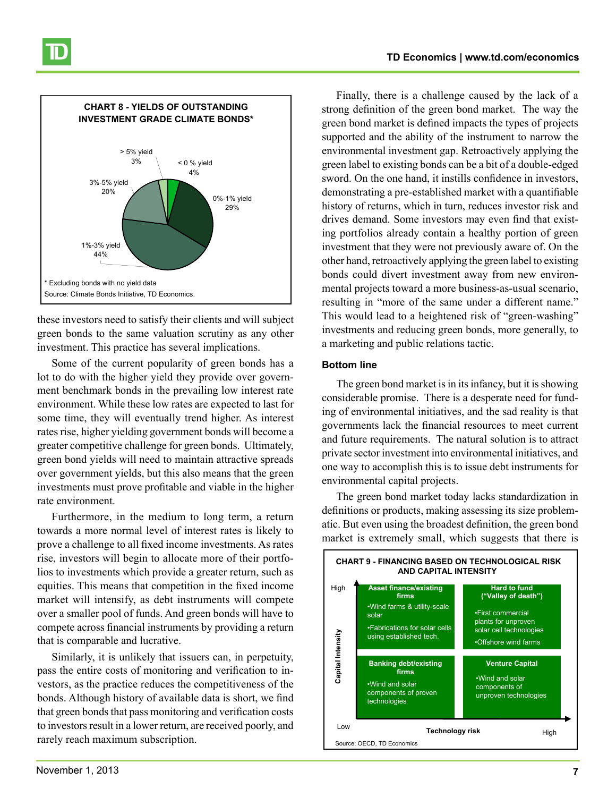

these investors need to satisfy their clients and will subject green bonds to the same valuation scrutiny as any other investment. This practice has several implications.

Some of the current popularity of green bonds has a lot to do with the higher yield they provide over government benchmark bonds in the prevailing low interest rate environment. While these low rates are expected to last for some time, they will eventually trend higher. As interest rates rise, higher yielding government bonds will become a greater competitive challenge for green bonds. Ultimately, green bond yields will need to maintain attractive spreads over government yields, but this also means that the green investments must prove profitable and viable in the higher rate environment.

Furthermore, in the medium to long term, a return towards a more normal level of interest rates is likely to prove a challenge to all fixed income investments. As rates rise, investors will begin to allocate more of their portfolios to investments which provide a greater return, such as equities. This means that competition in the fixed income market will intensify, as debt instruments will compete over a smaller pool of funds. And green bonds will have to compete across financial instruments by providing a return  $\Box$ that is comparable and lucrative.

> Similarly, it is unlikely that issuers can, in perpetuity, pass the entire costs of monitoring and verification to investors, as the practice reduces the competitiveness of the bonds. Although history of available data is short, we find that green bonds that pass monitoring and verification costs to investors result in a lower return, are received poorly, and rarely reach maximum subscription.

Finally, there is a challenge caused by the lack of a strong definition of the green bond market. The way the green bond market is defined impacts the types of projects supported and the ability of the instrument to narrow the environmental investment gap. Retroactively applying the green label to existing bonds can be a bit of a double-edged sword. On the one hand, it instills confidence in investors, demonstrating a pre-established market with a quantifiable history of returns, which in turn, reduces investor risk and drives demand. Some investors may even find that existing portfolios already contain a healthy portion of green investment that they were not previously aware of. On the other hand, retroactively applying the green label to existing bonds could divert investment away from new environmental projects toward a more business-as-usual scenario, resulting in "more of the same under a different name." This would lead to a heightened risk of "green-washing" investments and reducing green bonds, more generally, to a marketing and public relations tactic.

#### **Bottom line**

The green bond market is in its infancy, but it is showing considerable promise. There is a desperate need for funding of environmental initiatives, and the sad reality is that governments lack the financial resources to meet current and future requirements. The natural solution is to attract private sector investment into environmental initiatives, and one way to accomplish this is to issue debt instruments for environmental capital projects.

The green bond market today lacks standardization in definitions or products, making assessing its size problematic. But even using the broadest definition, the green bond market is extremely small, which suggests that there is

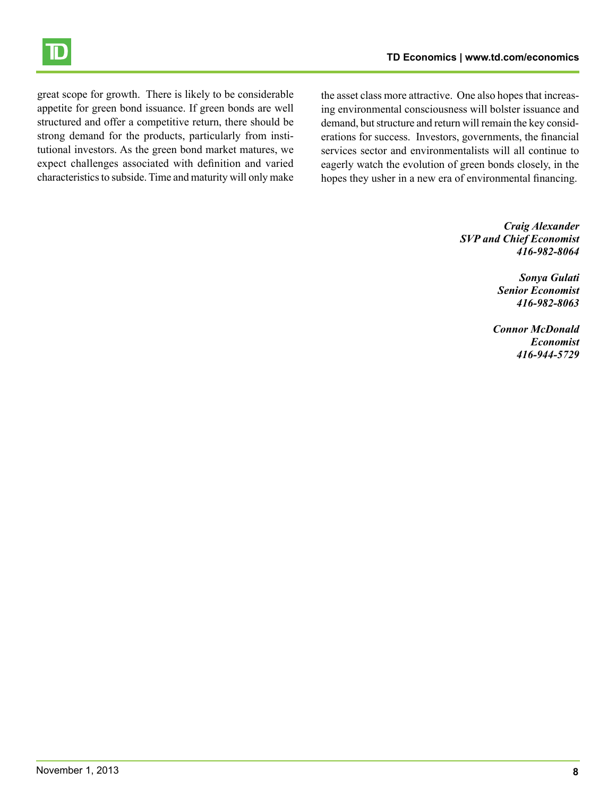

great scope for growth. There is likely to be considerable appetite for green bond issuance. If green bonds are well structured and offer a competitive return, there should be strong demand for the products, particularly from institutional investors. As the green bond market matures, we expect challenges associated with definition and varied characteristics to subside. Time and maturity will only make

the asset class more attractive. One also hopes that increasing environmental consciousness will bolster issuance and demand, but structure and return will remain the key considerations for success. Investors, governments, the financial services sector and environmentalists will all continue to eagerly watch the evolution of green bonds closely, in the hopes they usher in a new era of environmental financing.

> *Craig Alexander SVP and Chief Economist 416-982-8064*

> > *Sonya Gulati Senior Economist 416-982-8063*

*Connor McDonald Economist 416-944-5729*